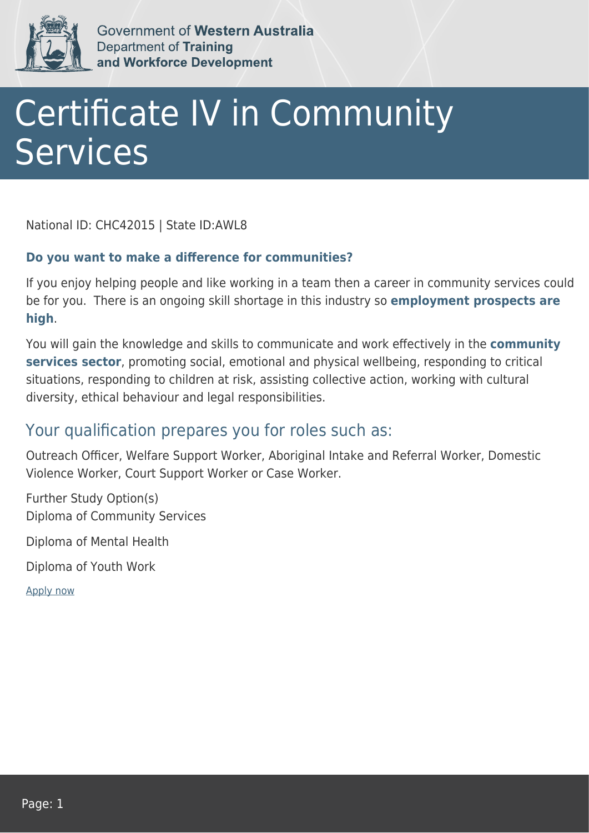

Government of Western Australia Department of Training and Workforce Development

## Certificate IV in Community **Services**

National ID: CHC42015 | State ID:AWL8

## **Do you want to make a difference for communities?**

If you enjoy helping people and like working in a team then a career in community services could be for you. There is an ongoing skill shortage in this industry so **employment prospects are high**.

You will gain the knowledge and skills to communicate and work effectively in the **community services sector**, promoting social, emotional and physical wellbeing, responding to critical situations, responding to children at risk, assisting collective action, working with cultural diversity, ethical behaviour and legal responsibilities.

## Your qualification prepares you for roles such as:

Outreach Officer, Welfare Support Worker, Aboriginal Intake and Referral Worker, Domestic Violence Worker, Court Support Worker or Case Worker.

Further Study Option(s) Diploma of Community Services

Diploma of Mental Health

Diploma of Youth Work

[Apply now](https://tasonline.tafe.wa.edu.au/Default.aspx)